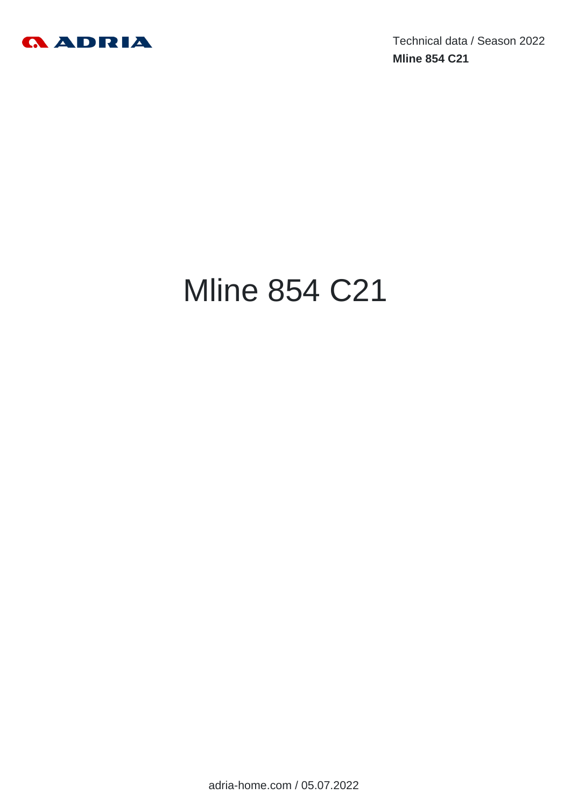

Technical data / Season 2022 **Mline 854 C21**

# Mline 854 C21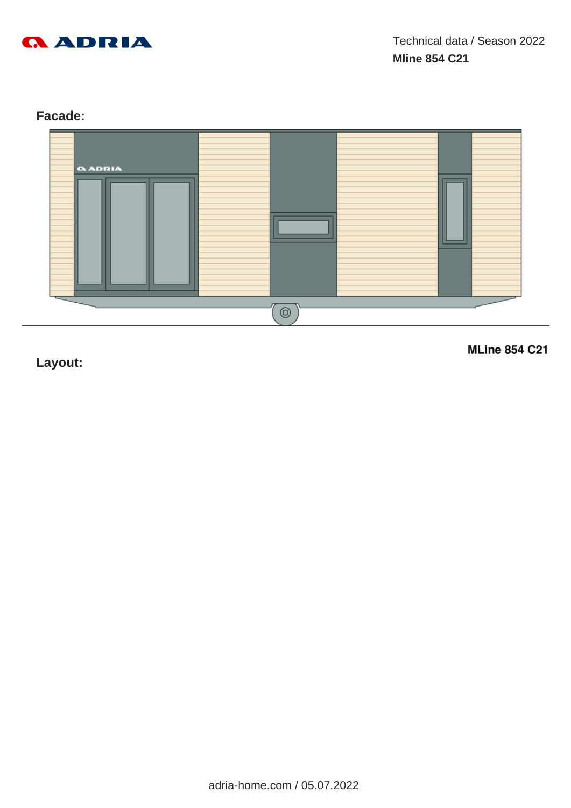

# **Facade:**



**Layout:**

**MLine 854 C21**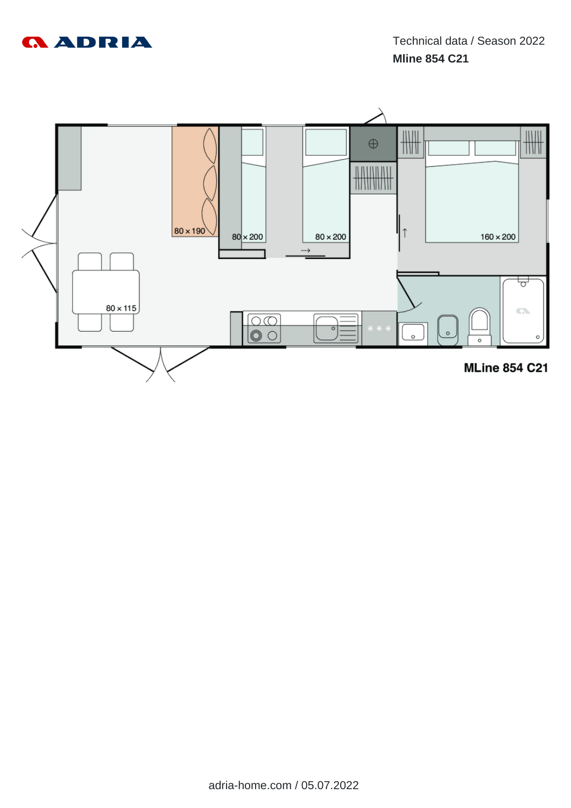

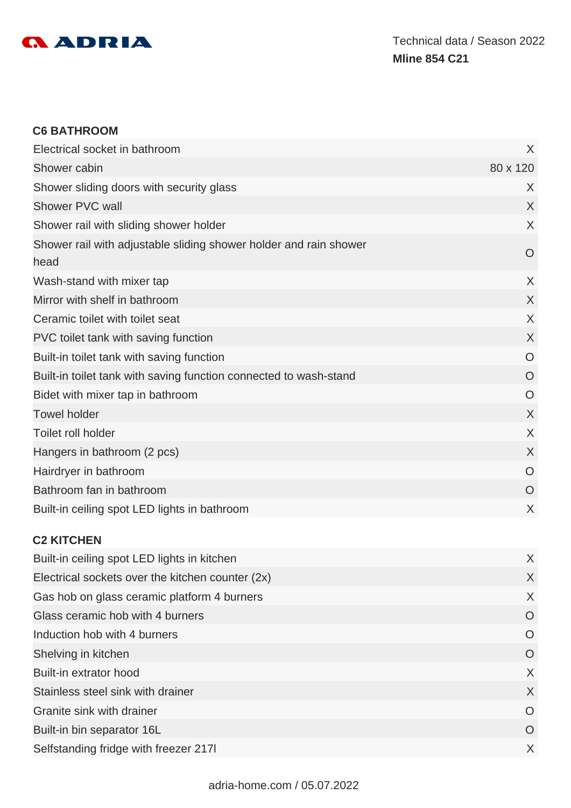

#### **C6 BATHROOM**

| Electrical socket in bathroom                                             | X              |
|---------------------------------------------------------------------------|----------------|
| Shower cabin                                                              | 80 x 120       |
| Shower sliding doors with security glass                                  | X              |
| Shower PVC wall                                                           | X              |
| Shower rail with sliding shower holder                                    | X              |
| Shower rail with adjustable sliding shower holder and rain shower<br>head | O              |
| Wash-stand with mixer tap                                                 | X              |
| Mirror with shelf in bathroom                                             | $\sf X$        |
| Ceramic toilet with toilet seat                                           | X              |
| PVC toilet tank with saving function                                      | $\sf X$        |
| Built-in toilet tank with saving function                                 | O              |
| Built-in toilet tank with saving function connected to wash-stand         | $\overline{O}$ |
| Bidet with mixer tap in bathroom                                          | $\overline{O}$ |
| <b>Towel holder</b>                                                       | $\sf X$        |
| Toilet roll holder                                                        | X              |
| Hangers in bathroom (2 pcs)                                               | $\chi$         |
| Hairdryer in bathroom                                                     | $\circ$        |
| Bathroom fan in bathroom                                                  | O              |
| Built-in ceiling spot LED lights in bathroom                              | X              |

#### **C2 KITCHEN**

| Built-in ceiling spot LED lights in kitchen      | X        |
|--------------------------------------------------|----------|
| Electrical sockets over the kitchen counter (2x) | X        |
| Gas hob on glass ceramic platform 4 burners      | X        |
| Glass ceramic hob with 4 burners                 | O        |
| Induction hob with 4 burners                     | O        |
| Shelving in kitchen                              | $\circ$  |
| Built-in extrator hood                           | X        |
| Stainless steel sink with drainer                | X        |
| Granite sink with drainer                        | O        |
| Built-in bin separator 16L                       | $\Omega$ |
| Selfstanding fridge with freezer 2171            | X        |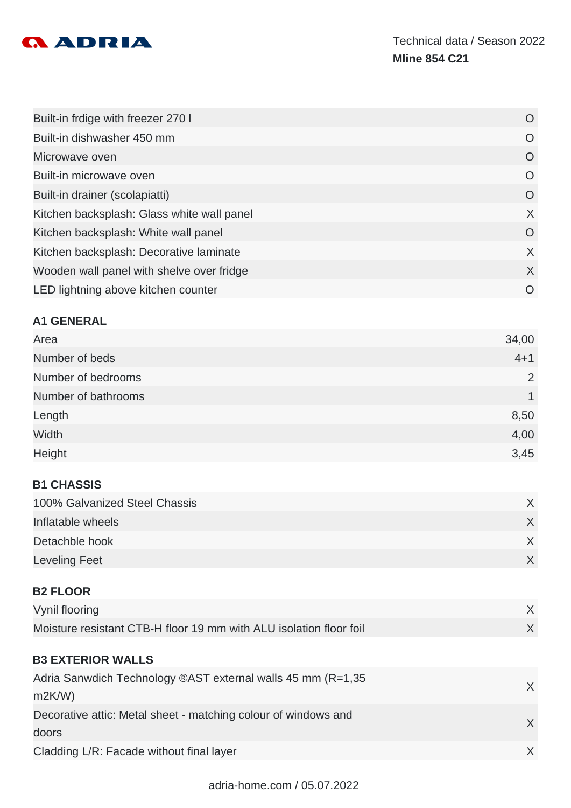

| Built-in frdige with freezer 270 I         | O        |
|--------------------------------------------|----------|
| Built-in dishwasher 450 mm                 | O        |
| Microwave oven                             | O        |
| Built-in microwave oven                    | O        |
| Built-in drainer (scolapiatti)             | O        |
| Kitchen backsplash: Glass white wall panel | X        |
| Kitchen backsplash: White wall panel       | $\circ$  |
| Kitchen backsplash: Decorative laminate    | X        |
| Wooden wall panel with shelve over fridge  | X        |
| LED lightning above kitchen counter        | $\Omega$ |

#### **A1 GENERAL**

| Area                | 34,00   |
|---------------------|---------|
| Number of beds      | $4 + 1$ |
| Number of bedrooms  | 2       |
| Number of bathrooms |         |
| Length              | 8,50    |
| Width               | 4,00    |
| Height              | 3,45    |

## **B1 CHASSIS**

| 100% Galvanized Steel Chassis |  |
|-------------------------------|--|
| Inflatable wheels             |  |
| Detachble hook                |  |
| <b>Leveling Feet</b>          |  |

#### **B2 FLOOR**

| Vynil flooring                                                     |  |
|--------------------------------------------------------------------|--|
| Moisture resistant CTB-H floor 19 mm with ALU isolation floor foil |  |

# **B3 EXTERIOR WALLS**

| Adria Sanwdich Technology ®AST external walls 45 mm (R=1,35    | X      |
|----------------------------------------------------------------|--------|
| m2K/W                                                          |        |
| Decorative attic: Metal sheet - matching colour of windows and |        |
| doors                                                          |        |
| Cladding L/R: Facade without final layer                       | $\chi$ |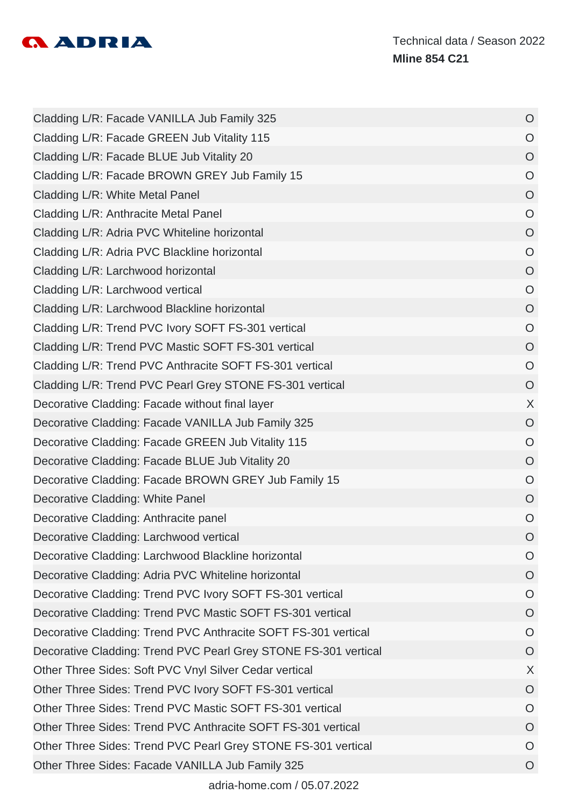

| Cladding L/R: Facade VANILLA Jub Family 325                     | $\circ$        |
|-----------------------------------------------------------------|----------------|
| Cladding L/R: Facade GREEN Jub Vitality 115                     | $\circ$        |
| Cladding L/R: Facade BLUE Jub Vitality 20                       | $\circ$        |
| Cladding L/R: Facade BROWN GREY Jub Family 15                   | $\circ$        |
| Cladding L/R: White Metal Panel                                 | $\overline{O}$ |
| Cladding L/R: Anthracite Metal Panel                            | $\circ$        |
| Cladding L/R: Adria PVC Whiteline horizontal                    | $\circ$        |
| Cladding L/R: Adria PVC Blackline horizontal                    | $\overline{O}$ |
| Cladding L/R: Larchwood horizontal                              | $\circ$        |
| Cladding L/R: Larchwood vertical                                | $\circ$        |
| Cladding L/R: Larchwood Blackline horizontal                    | $\overline{O}$ |
| Cladding L/R: Trend PVC Ivory SOFT FS-301 vertical              | $\circ$        |
| Cladding L/R: Trend PVC Mastic SOFT FS-301 vertical             | $\circ$        |
| Cladding L/R: Trend PVC Anthracite SOFT FS-301 vertical         | $\overline{O}$ |
| Cladding L/R: Trend PVC Pearl Grey STONE FS-301 vertical        | O              |
| Decorative Cladding: Facade without final layer                 | X              |
| Decorative Cladding: Facade VANILLA Jub Family 325              | $\circ$        |
| Decorative Cladding: Facade GREEN Jub Vitality 115              | $\circ$        |
| Decorative Cladding: Facade BLUE Jub Vitality 20                | $\circ$        |
| Decorative Cladding: Facade BROWN GREY Jub Family 15            | $\circ$        |
| Decorative Cladding: White Panel                                | $\overline{O}$ |
| Decorative Cladding: Anthracite panel                           | $\circ$        |
| Decorative Cladding: Larchwood vertical                         | O              |
| Decorative Cladding: Larchwood Blackline horizontal             | $\circ$        |
| Decorative Cladding: Adria PVC Whiteline horizontal             | $\circ$        |
| Decorative Cladding: Trend PVC Ivory SOFT FS-301 vertical       | $\circ$        |
| Decorative Cladding: Trend PVC Mastic SOFT FS-301 vertical      | $\overline{O}$ |
| Decorative Cladding: Trend PVC Anthracite SOFT FS-301 vertical  | O              |
| Decorative Cladding: Trend PVC Pearl Grey STONE FS-301 vertical | $\overline{O}$ |
| Other Three Sides: Soft PVC Vnyl Silver Cedar vertical          | X              |
| Other Three Sides: Trend PVC Ivory SOFT FS-301 vertical         | $\overline{O}$ |
| Other Three Sides: Trend PVC Mastic SOFT FS-301 vertical        | $\circ$        |
| Other Three Sides: Trend PVC Anthracite SOFT FS-301 vertical    | $\circ$        |
| Other Three Sides: Trend PVC Pearl Grey STONE FS-301 vertical   | O              |
| Other Three Sides: Facade VANILLA Jub Family 325                | O              |
|                                                                 |                |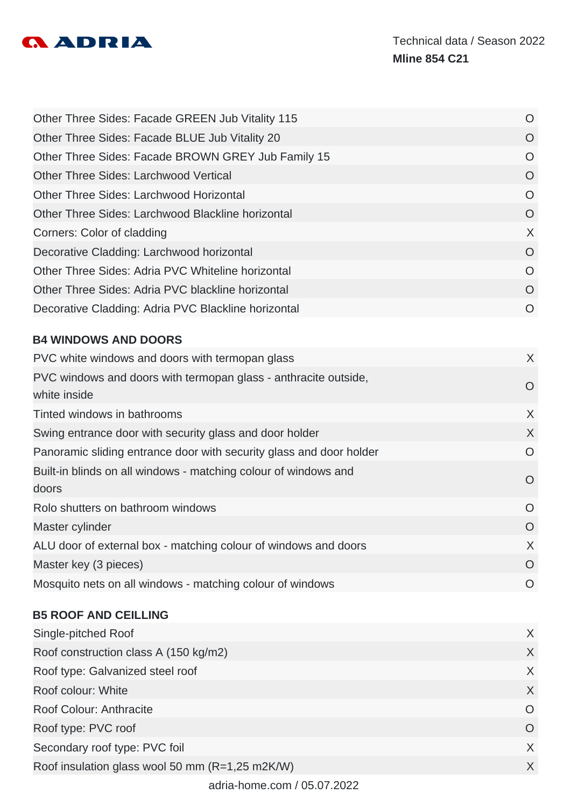

| O              |
|----------------|
| $\Omega$       |
| O              |
| $\overline{O}$ |
| O              |
| $\circ$        |
| X              |
| $\circ$        |
| $\Omega$       |
| $\circ$        |
| O              |
|                |

# **B4 WINDOWS AND DOORS**

| PVC white windows and doors with termopan glass                     | X        |
|---------------------------------------------------------------------|----------|
| PVC windows and doors with termopan glass - anthracite outside,     | O        |
| white inside                                                        |          |
| Tinted windows in bathrooms                                         | $\sf X$  |
| Swing entrance door with security glass and door holder             | X        |
| Panoramic sliding entrance door with security glass and door holder | O        |
| Built-in blinds on all windows - matching colour of windows and     | $\Omega$ |
| doors                                                               |          |
| Rolo shutters on bathroom windows                                   | $\Omega$ |
| Master cylinder                                                     | $\Omega$ |
| ALU door of external box - matching colour of windows and doors     | X        |
| Master key (3 pieces)                                               | $\Omega$ |
| Mosquito nets on all windows - matching colour of windows           | $\Omega$ |
|                                                                     |          |

# **B5 ROOF AND CEILLING**

| Single-pitched Roof                             | X        |
|-------------------------------------------------|----------|
| Roof construction class A (150 kg/m2)           | $\chi$   |
| Roof type: Galvanized steel roof                | $\chi$   |
| Roof colour: White                              | $\times$ |
| Roof Colour: Anthracite                         | O        |
| Roof type: PVC roof                             | O        |
| Secondary roof type: PVC foil                   | X        |
| Roof insulation glass wool 50 mm (R=1,25 m2K/W) | X        |
|                                                 |          |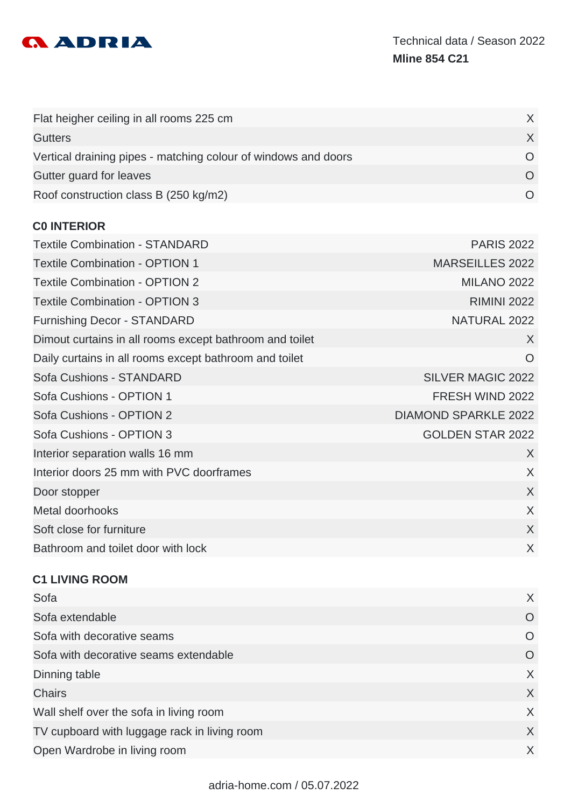

| Flat heigher ceiling in all rooms 225 cm                       |  |
|----------------------------------------------------------------|--|
| <b>Gutters</b>                                                 |  |
| Vertical draining pipes - matching colour of windows and doors |  |
| Gutter guard for leaves                                        |  |
| Roof construction class B (250 kg/m2)                          |  |

#### **C0 INTERIOR**

| <b>Textile Combination - STANDARD</b>                   | <b>PARIS 2022</b>           |
|---------------------------------------------------------|-----------------------------|
| <b>Textile Combination - OPTION 1</b>                   | <b>MARSEILLES 2022</b>      |
| <b>Textile Combination - OPTION 2</b>                   | <b>MILANO 2022</b>          |
| <b>Textile Combination - OPTION 3</b>                   | <b>RIMINI 2022</b>          |
| <b>Furnishing Decor - STANDARD</b>                      | NATURAL 2022                |
| Dimout curtains in all rooms except bathroom and toilet | X                           |
| Daily curtains in all rooms except bathroom and toilet  | $\circ$                     |
| Sofa Cushions - STANDARD                                | <b>SILVER MAGIC 2022</b>    |
| Sofa Cushions - OPTION 1                                | FRESH WIND 2022             |
| Sofa Cushions - OPTION 2                                | <b>DIAMOND SPARKLE 2022</b> |
| Sofa Cushions - OPTION 3                                | <b>GOLDEN STAR 2022</b>     |
| Interior separation walls 16 mm                         | $\sf X$                     |
| Interior doors 25 mm with PVC doorframes                | X                           |
| Door stopper                                            | $\chi$                      |
| Metal doorhooks                                         | X                           |
| Soft close for furniture                                | $\chi$                      |
| Bathroom and toilet door with lock                      | X                           |
|                                                         |                             |

#### **C1 LIVING ROOM**

| Sofa                                         | X        |
|----------------------------------------------|----------|
| Sofa extendable                              | O        |
| Sofa with decorative seams                   | $\Omega$ |
| Sofa with decorative seams extendable        | O        |
| Dinning table                                | X        |
| <b>Chairs</b>                                | X        |
| Wall shelf over the sofa in living room      | X        |
| TV cupboard with luggage rack in living room | X        |
| Open Wardrobe in living room                 | X        |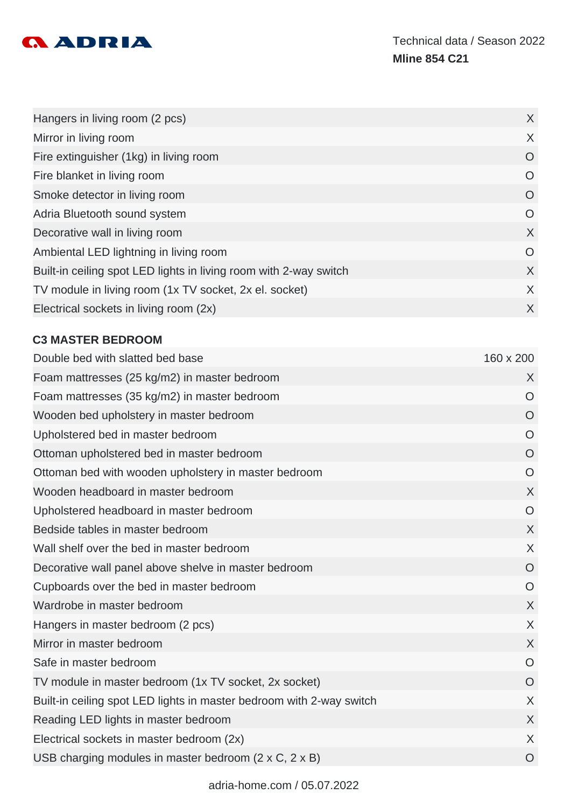

| Hangers in living room (2 pcs)                                    | $\chi$  |
|-------------------------------------------------------------------|---------|
| Mirror in living room                                             | $\sf X$ |
| Fire extinguisher (1kg) in living room                            | $\circ$ |
| Fire blanket in living room                                       | O       |
| Smoke detector in living room                                     | $\circ$ |
| Adria Bluetooth sound system                                      | O       |
| Decorative wall in living room                                    | X       |
| Ambiental LED lightning in living room                            | O       |
| Built-in ceiling spot LED lights in living room with 2-way switch | X       |
| TV module in living room (1x TV socket, 2x el. socket)            | X       |
| Electrical sockets in living room (2x)                            | X       |

# **C3 MASTER BEDROOM**

| Double bed with slatted bed base                                     | 160 x 200      |
|----------------------------------------------------------------------|----------------|
| Foam mattresses (25 kg/m2) in master bedroom                         | X              |
| Foam mattresses (35 kg/m2) in master bedroom                         | $\overline{O}$ |
| Wooden bed upholstery in master bedroom                              | $\overline{O}$ |
| Upholstered bed in master bedroom                                    | $\overline{O}$ |
| Ottoman upholstered bed in master bedroom                            | $\circ$        |
| Ottoman bed with wooden upholstery in master bedroom                 | $\overline{O}$ |
| Wooden headboard in master bedroom                                   | X              |
| Upholstered headboard in master bedroom                              | $\overline{O}$ |
| Bedside tables in master bedroom                                     | X              |
| Wall shelf over the bed in master bedroom                            | $\sf X$        |
| Decorative wall panel above shelve in master bedroom                 | $\overline{O}$ |
| Cupboards over the bed in master bedroom                             | $\overline{O}$ |
| Wardrobe in master bedroom                                           | X              |
| Hangers in master bedroom (2 pcs)                                    | X              |
| Mirror in master bedroom                                             | X              |
| Safe in master bedroom                                               | $\overline{O}$ |
| TV module in master bedroom (1x TV socket, 2x socket)                | $\circ$        |
| Built-in ceiling spot LED lights in master bedroom with 2-way switch | X              |
| Reading LED lights in master bedroom                                 | X              |
| Electrical sockets in master bedroom (2x)                            | X              |
| USB charging modules in master bedroom (2 x C, 2 x B)                | $\circ$        |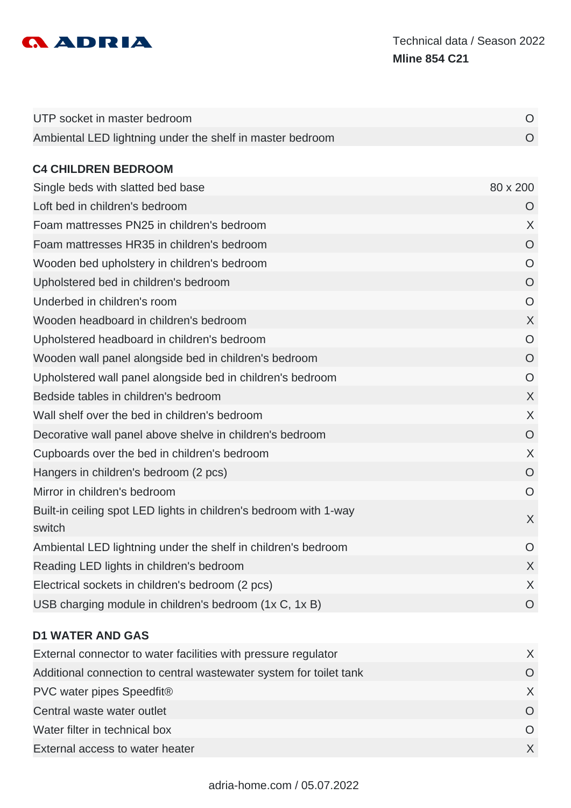

| UTP socket in master bedroom                                                | O              |
|-----------------------------------------------------------------------------|----------------|
| Ambiental LED lightning under the shelf in master bedroom                   | O              |
| <b>C4 CHILDREN BEDROOM</b>                                                  |                |
| Single beds with slatted bed base                                           | 80 x 200       |
| Loft bed in children's bedroom                                              | O              |
| Foam mattresses PN25 in children's bedroom                                  | $\sf X$        |
| Foam mattresses HR35 in children's bedroom                                  | $\circ$        |
| Wooden bed upholstery in children's bedroom                                 | O              |
| Upholstered bed in children's bedroom                                       | $\circ$        |
| Underbed in children's room                                                 | $\overline{O}$ |
| Wooden headboard in children's bedroom                                      | X              |
| Upholstered headboard in children's bedroom                                 | $\overline{O}$ |
| Wooden wall panel alongside bed in children's bedroom                       | $\overline{O}$ |
| Upholstered wall panel alongside bed in children's bedroom                  | O              |
| Bedside tables in children's bedroom                                        | $\sf X$        |
| Wall shelf over the bed in children's bedroom                               | X              |
| Decorative wall panel above shelve in children's bedroom                    | $\overline{O}$ |
| Cupboards over the bed in children's bedroom                                | $\chi$         |
| Hangers in children's bedroom (2 pcs)                                       | $\overline{O}$ |
| Mirror in children's bedroom                                                | $\overline{O}$ |
| Built-in ceiling spot LED lights in children's bedroom with 1-way<br>switch | X              |
| Ambiental LED lightning under the shelf in children's bedroom               | O              |
| Reading LED lights in children's bedroom                                    | X              |
| Electrical sockets in children's bedroom (2 pcs)                            | X              |
| USB charging module in children's bedroom (1x C, 1x B)                      | $\circ$        |
| <b>D1 WATER AND GAS</b>                                                     |                |
| External connector to water facilities with pressure regulator              | X              |
| Additional connection to central wastewater system for toilet tank          | O              |
| DVC water nings Sneedfite                                                   | Y.             |

PVC water pipes Speedfit® X and the set of the set of the set of the set of the set of the set of the set of the set of the set of the set of the set of the set of the set of the set of the set of the set of the set of the **Central waste water outlet** O Water filter in technical box **O** External access to water heater X and the set of the set of the set of the set of the set of the set of the set of the set of the set of the set of the set of the set of the set of the set of the set of the set of the set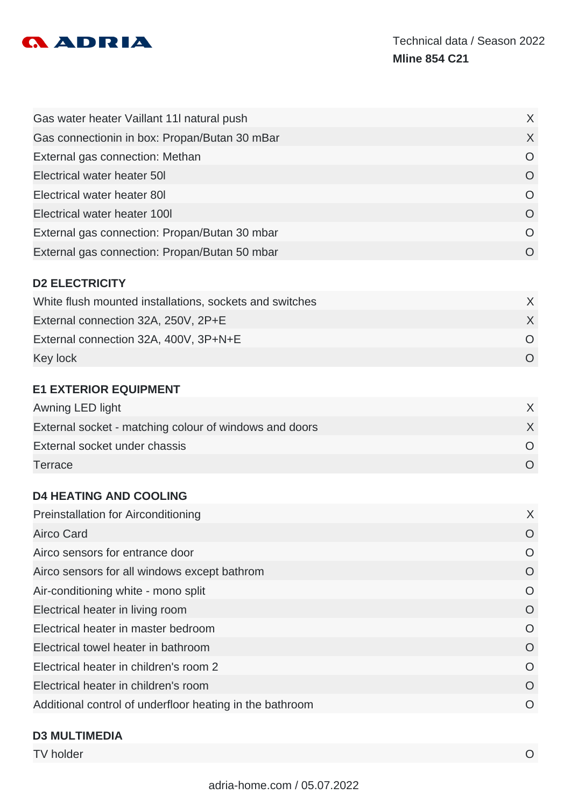

| Gas water heater Vaillant 11I natural push    | X.       |
|-----------------------------------------------|----------|
| Gas connectionin in box: Propan/Butan 30 mBar | $\times$ |
| External gas connection: Methan               | $\Omega$ |
| Electrical water heater 50                    | O        |
| Electrical water heater 80I                   | O        |
| Electrical water heater 1001                  | O        |
| External gas connection: Propan/Butan 30 mbar | $\Omega$ |
| External gas connection: Propan/Butan 50 mbar | $\Omega$ |
|                                               |          |

## **D2 ELECTRICITY**

| White flush mounted installations, sockets and switches |  |
|---------------------------------------------------------|--|
| External connection 32A, 250V, 2P+E                     |  |
| External connection 32A, 400V, 3P+N+E                   |  |
| Key lock                                                |  |

#### **E1 EXTERIOR EQUIPMENT**

| Awning LED light                                       |  |
|--------------------------------------------------------|--|
| External socket - matching colour of windows and doors |  |
| External socket under chassis                          |  |
| Terrace                                                |  |

#### **D4 HEATING AND COOLING**

| <b>Preinstallation for Airconditioning</b>               | X        |
|----------------------------------------------------------|----------|
| Airco Card                                               | $\Omega$ |
| Airco sensors for entrance door                          | O        |
| Airco sensors for all windows except bathrom             | $\Omega$ |
| Air-conditioning white - mono split                      | $\Omega$ |
| Electrical heater in living room                         | $\Omega$ |
| Electrical heater in master bedroom                      | $\Omega$ |
| Electrical towel heater in bathroom                      | $\Omega$ |
| Electrical heater in children's room 2                   | $\Omega$ |
| Electrical heater in children's room                     | $\Omega$ |
| Additional control of underfloor heating in the bathroom | $\Omega$ |

#### **D3 MULTIMEDIA**

TV holder O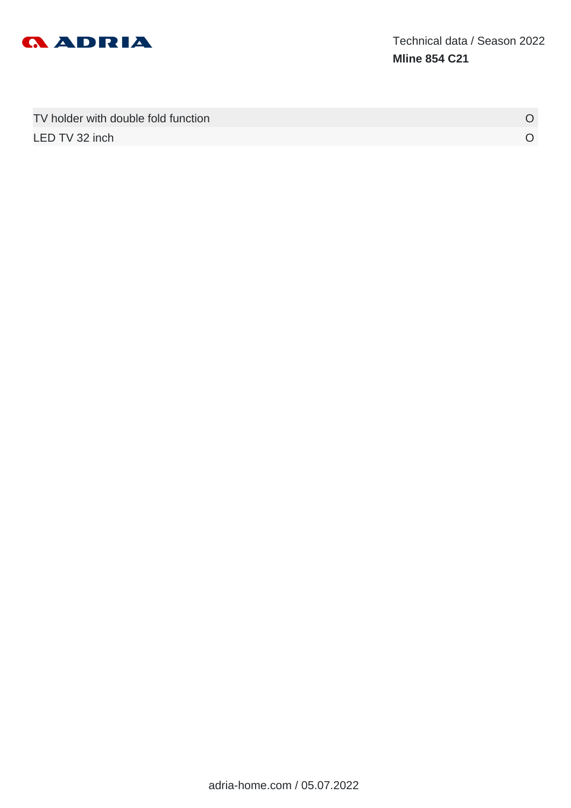

| TV holder with double fold function |  |
|-------------------------------------|--|
| LED TV 32 inch                      |  |